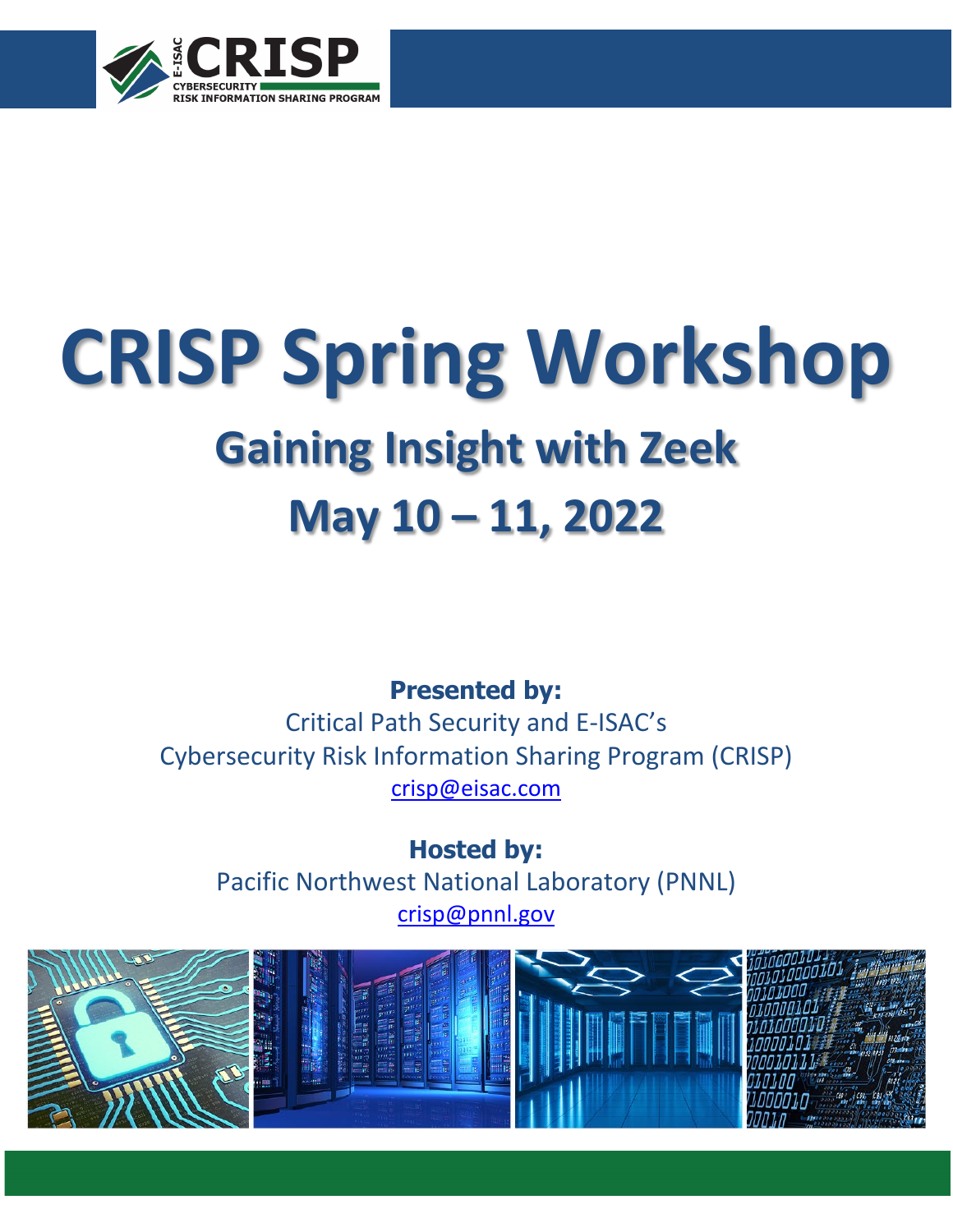

# **CRISP Spring Workshop Gaining Insight with Zeek**

## **May 10 – 11, 2022**

### **Presented by:**

Critical Path Security and E-ISAC's Cybersecurity Risk Information Sharing Program (CRISP) [crisp@eisac.com](mailto:crisp@eisac.com)

**Hosted by:** Pacific Northwest National Laboratory (PNNL) [crisp@pnnl.gov](mailto:crisp@pnnl.gov)

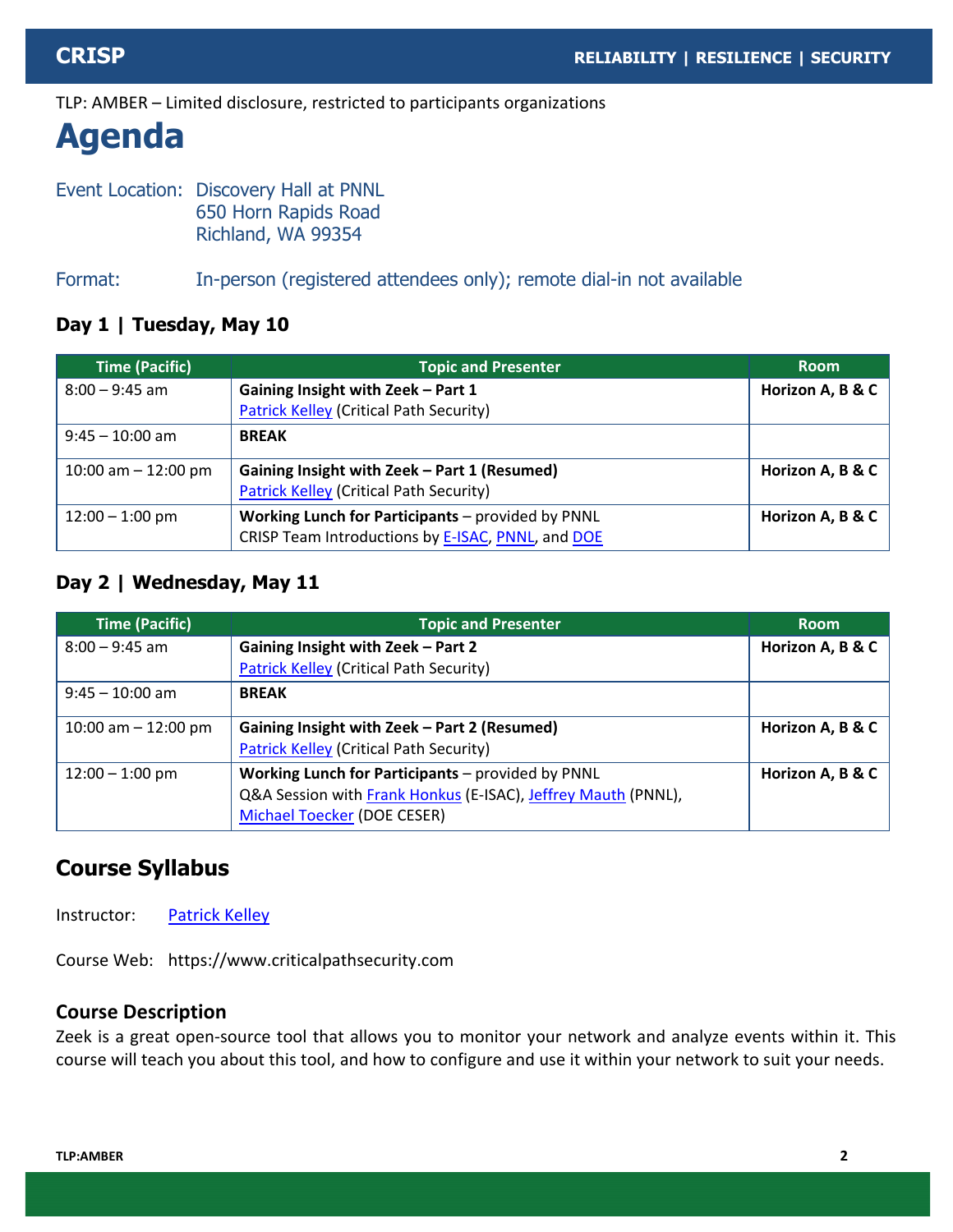## **Agenda**

Event Location: Discovery Hall at PNNL 650 Horn Rapids Road Richland, WA 99354

Format: In-person (registered attendees only); remote dial-in not available

#### **Day 1 | Tuesday, May 10**

| <b>Time (Pacific)</b> | <b>Topic and Presenter</b>                        | <b>Room</b>      |
|-----------------------|---------------------------------------------------|------------------|
| $8:00 - 9:45$ am      | Gaining Insight with Zeek - Part 1                | Horizon A, B & C |
|                       | <b>Patrick Kelley (Critical Path Security)</b>    |                  |
| $9:45 - 10:00$ am     | <b>BREAK</b>                                      |                  |
| 10:00 am $-$ 12:00 pm | Gaining Insight with Zeek - Part 1 (Resumed)      | Horizon A, B & C |
|                       | <b>Patrick Kelley (Critical Path Security)</b>    |                  |
| $12:00 - 1:00$ pm     | Working Lunch for Participants - provided by PNNL | Horizon A, B & C |
|                       | CRISP Team Introductions by E-ISAC, PNNL, and DOE |                  |

#### **Day 2 | Wednesday, May 11**

| <b>Time (Pacific)</b> | <b>Topic and Presenter</b>                                    | <b>Room</b>      |
|-----------------------|---------------------------------------------------------------|------------------|
| $8:00 - 9:45$ am      | Gaining Insight with Zeek - Part 2                            | Horizon A, B & C |
|                       | <b>Patrick Kelley (Critical Path Security)</b>                |                  |
| $9:45 - 10:00$ am     | <b>BREAK</b>                                                  |                  |
| 10:00 am $-$ 12:00 pm | Gaining Insight with Zeek - Part 2 (Resumed)                  | Horizon A, B & C |
|                       | <b>Patrick Kelley (Critical Path Security)</b>                |                  |
| $12:00 - 1:00$ pm     | Working Lunch for Participants - provided by PNNL             | Horizon A, B & C |
|                       | Q&A Session with Frank Honkus (E-ISAC), Jeffrey Mauth (PNNL), |                  |
|                       | Michael Toecker (DOE CESER)                                   |                  |

#### **Course Syllabus**

Instructor: [Patrick Kelley](#page-3-0)

Course Web: https://www.criticalpathsecurity.com

#### **Course Description**

Zeek is a great open-source tool that allows you to monitor your network and analyze events within it. This course will teach you about this tool, and how to configure and use it within your network to suit your needs.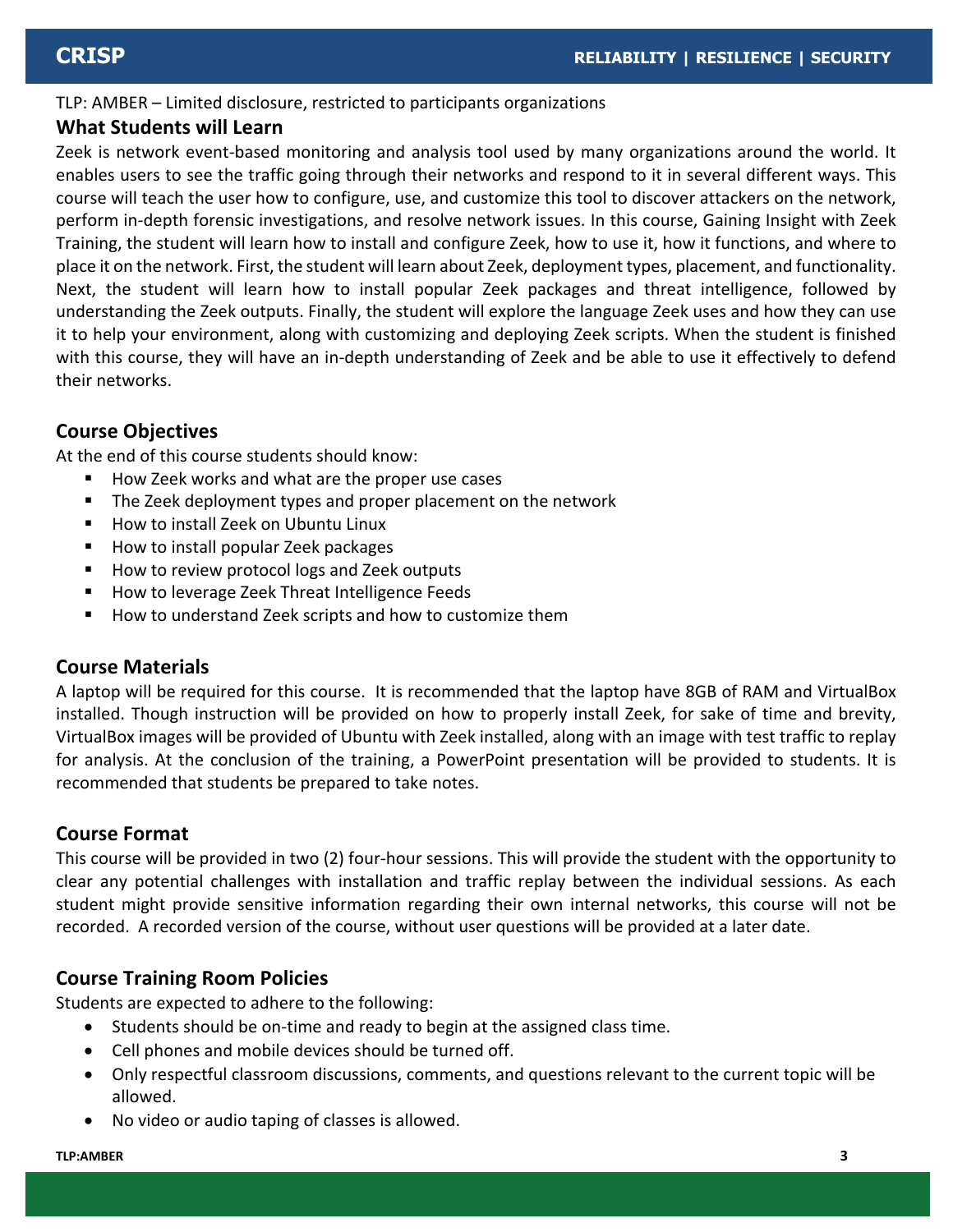#### **What Students will Learn**

Zeek is network event-based monitoring and analysis tool used by many organizations around the world. It enables users to see the traffic going through their networks and respond to it in several different ways. This course will teach the user how to configure, use, and customize this tool to discover attackers on the network, perform in-depth forensic investigations, and resolve network issues. In this course, Gaining Insight with Zeek Training, the student will learn how to install and configure Zeek, how to use it, how it functions, and where to place it on the network. First, the student will learn about Zeek, deployment types, placement, and functionality. Next, the student will learn how to install popular Zeek packages and threat intelligence, followed by understanding the Zeek outputs. Finally, the student will explore the language Zeek uses and how they can use it to help your environment, along with customizing and deploying Zeek scripts. When the student is finished with this course, they will have an in-depth understanding of Zeek and be able to use it effectively to defend their networks.

#### **Course Objectives**

At the end of this course students should know:

- How Zeek works and what are the proper use cases
- **The Zeek deployment types and proper placement on the network**
- How to install Zeek on Ubuntu Linux
- How to install popular Zeek packages
- How to review protocol logs and Zeek outputs
- How to leverage Zeek Threat Intelligence Feeds
- How to understand Zeek scripts and how to customize them

#### **Course Materials**

A laptop will be required for this course. It is recommended that the laptop have 8GB of RAM and VirtualBox installed. Though instruction will be provided on how to properly install Zeek, for sake of time and brevity, VirtualBox images will be provided of Ubuntu with Zeek installed, along with an image with test traffic to replay for analysis. At the conclusion of the training, a PowerPoint presentation will be provided to students. It is recommended that students be prepared to take notes.

#### **Course Format**

This course will be provided in two (2) four-hour sessions. This will provide the student with the opportunity to clear any potential challenges with installation and traffic replay between the individual sessions. As each student might provide sensitive information regarding their own internal networks, this course will not be recorded. A recorded version of the course, without user questions will be provided at a later date.

#### **Course Training Room Policies**

Students are expected to adhere to the following:

- Students should be on-time and ready to begin at the assigned class time.
- Cell phones and mobile devices should be turned off.
- Only respectful classroom discussions, comments, and questions relevant to the current topic will be allowed.
- No video or audio taping of classes is allowed.

#### **TLP:AMBER 3**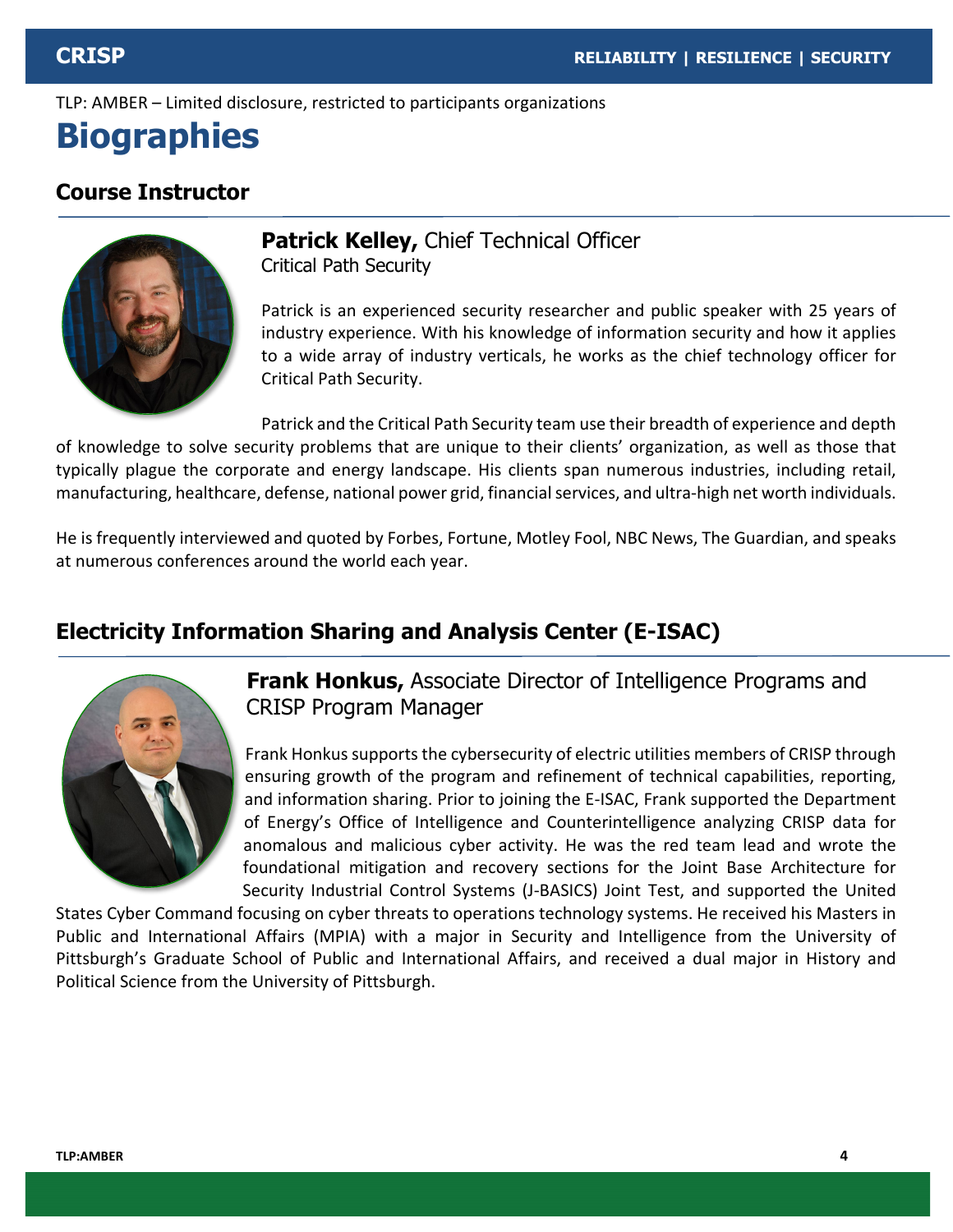## <span id="page-3-0"></span>**Biographies**

#### **Course Instructor**



**Patrick Kelley,** Chief Technical Officer Critical Path Security

Patrick is an experienced security researcher and public speaker with 25 years of industry experience. With his knowledge of information security and how it applies to a wide array of industry verticals, he works as the chief technology officer for Critical Path Security.

Patrick and the Critical Path Security team use their breadth of experience and depth of knowledge to solve security problems that are unique to their clients' organization, as well as those that typically plague the corporate and energy landscape. His clients span numerous industries, including retail, manufacturing, healthcare, defense, national power grid, financial services, and ultra-high net worth individuals.

He is frequently interviewed and quoted by Forbes, Fortune, Motley Fool, NBC News, The Guardian, and speaks at numerous conferences around the world each year.

#### <span id="page-3-1"></span>**Electricity Information Sharing and Analysis Center (E-ISAC)**



**Frank Honkus,** Associate Director of Intelligence Programs and CRISP Program Manager

Frank Honkus supports the cybersecurity of electric utilities members of CRISP through ensuring growth of the program and refinement of technical capabilities, reporting, and information sharing. Prior to joining the E-ISAC, Frank supported the Department of Energy's Office of Intelligence and Counterintelligence analyzing CRISP data for anomalous and malicious cyber activity. He was the red team lead and wrote the foundational mitigation and recovery sections for the Joint Base Architecture for Security Industrial Control Systems (J-BASICS) Joint Test, and supported the United

States Cyber Command focusing on cyber threats to operations technology systems. He received his Masters in Public and International Affairs (MPIA) with a major in Security and Intelligence from the University of Pittsburgh's Graduate School of Public and International Affairs, and received a dual major in History and Political Science from the University of Pittsburgh.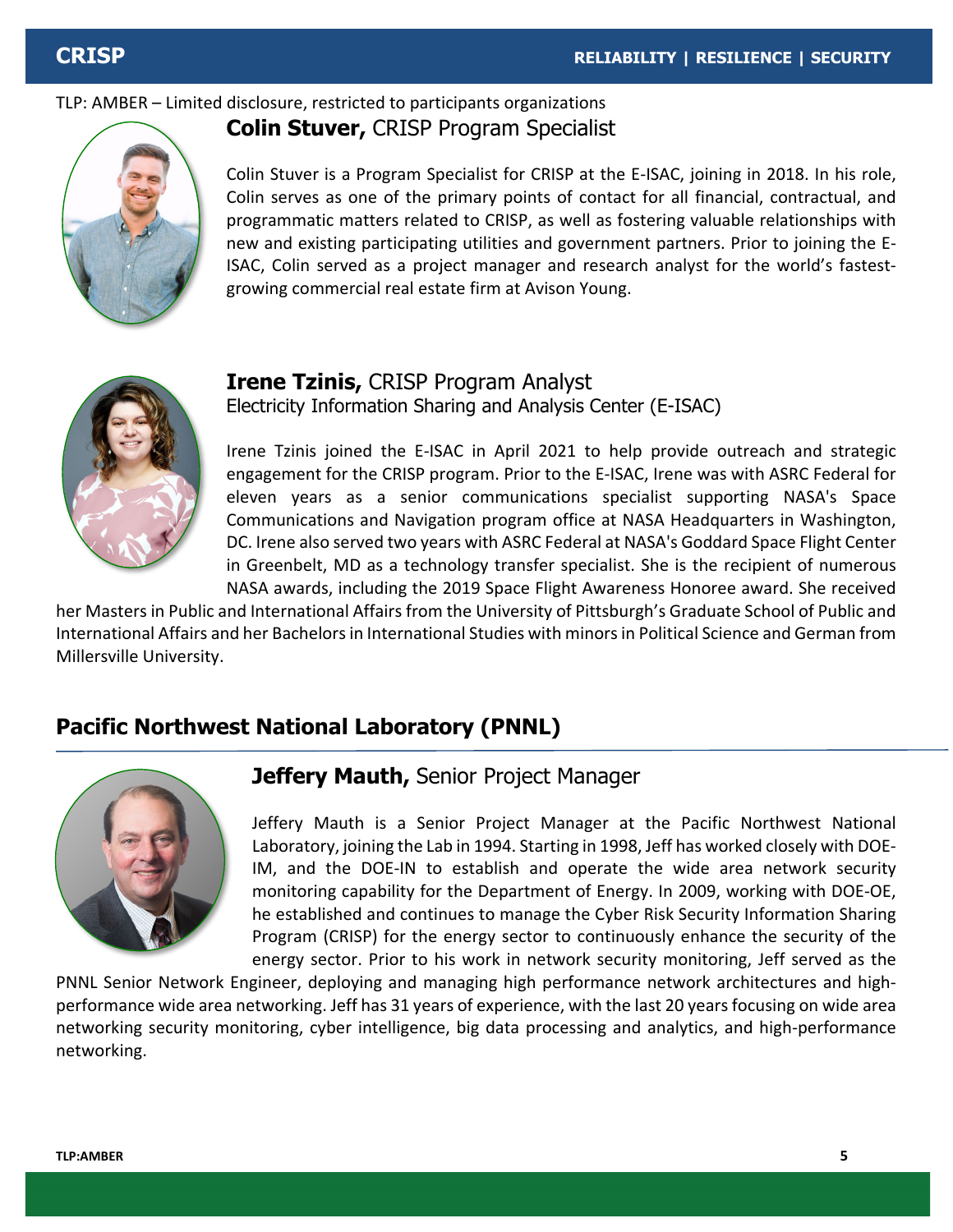

<span id="page-4-1"></span>

Colin Stuver is a Program Specialist for CRISP at the E-ISAC, joining in 2018. In his role, Colin serves as one of the primary points of contact for all financial, contractual, and programmatic matters related to CRISP, as well as fostering valuable relationships with new and existing participating utilities and government partners. Prior to joining the E-ISAC, Colin served as a project manager and research analyst for the world's fastest-



#### **Irene Tzinis,** CRISP Program Analyst Electricity Information Sharing and Analysis Center (E-ISAC)

growing commercial real estate firm at Avison Young.

Irene Tzinis joined the E-ISAC in April 2021 to help provide outreach and strategic engagement for the CRISP program. Prior to the E-ISAC, Irene was with ASRC Federal for eleven years as a senior communications specialist supporting NASA's Space Communications and Navigation program office at NASA Headquarters in Washington, DC. Irene also served two years with ASRC Federal at NASA's Goddard Space Flight Center in Greenbelt, MD as a technology transfer specialist. She is the recipient of numerous NASA awards, including the 2019 Space Flight Awareness Honoree award. She received

her Masters in Public and International Affairs from the University of Pittsburgh's Graduate School of Public and International Affairs and her Bachelors in International Studies with minors in Political Science and German from Millersville University.

#### <span id="page-4-0"></span>**Pacific Northwest National Laboratory (PNNL)**



#### **Jeffery Mauth,** Senior Project Manager

Jeffery Mauth is a Senior Project Manager at the Pacific Northwest National Laboratory, joining the Lab in 1994. Starting in 1998, Jeff has worked closely with DOE-IM, and the DOE-IN to establish and operate the wide area network security monitoring capability for the Department of Energy. In 2009, working with DOE-OE, he established and continues to manage the Cyber Risk Security Information Sharing Program (CRISP) for the energy sector to continuously enhance the security of the energy sector. Prior to his work in network security monitoring, Jeff served as the

PNNL Senior Network Engineer, deploying and managing high performance network architectures and highperformance wide area networking. Jeff has 31 years of experience, with the last 20 years focusing on wide area networking security monitoring, cyber intelligence, big data processing and analytics, and high-performance networking.